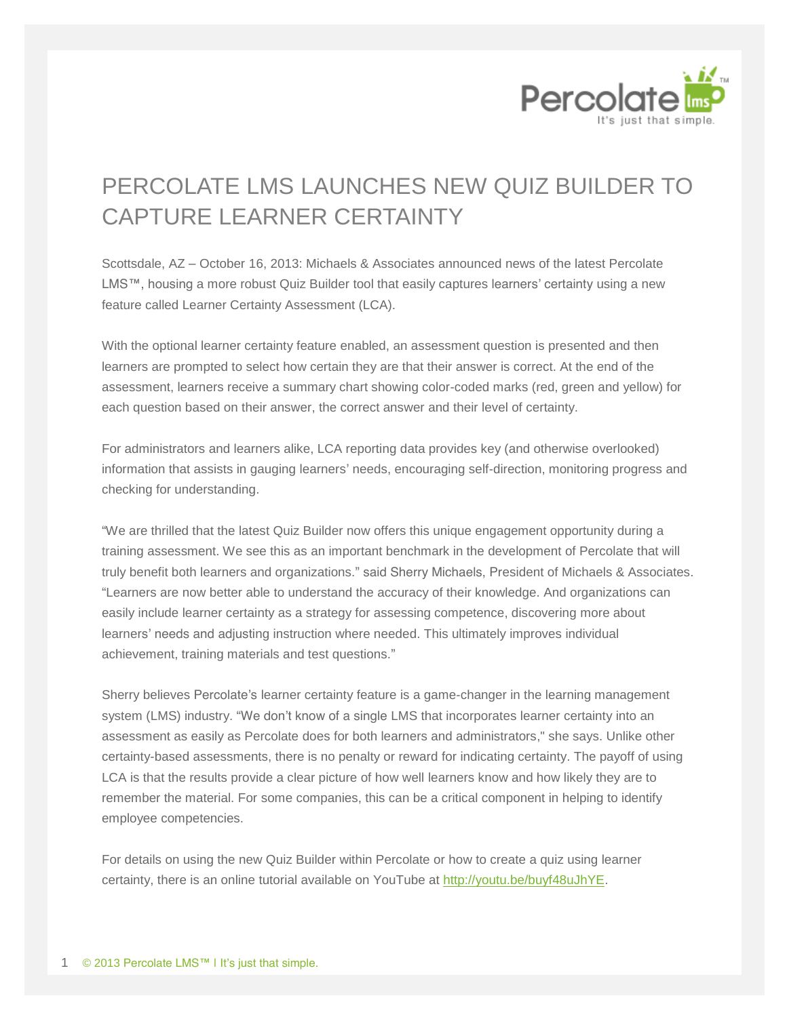

## PERCOLATE LMS LAUNCHES NEW QUIZ BUILDER TO CAPTURE LEARNER CERTAINTY

Scottsdale, AZ – October 16, 2013: Michaels & Associates announced news of the latest Percolate LMS™, housing a more robust Quiz Builder tool that easily captures learners' certainty using a new feature called Learner Certainty Assessment (LCA).

With the optional learner certainty feature enabled, an assessment question is presented and then learners are prompted to select how certain they are that their answer is correct. At the end of the assessment, learners receive a summary chart showing color-coded marks (red, green and yellow) for each question based on their answer, the correct answer and their level of certainty.

For administrators and learners alike, LCA reporting data provides key (and otherwise overlooked) information that assists in gauging learners' needs, encouraging self-direction, monitoring progress and checking for understanding.

"We are thrilled that the latest Quiz Builder now offers this unique engagement opportunity during a training assessment. We see this as an important benchmark in the development of Percolate that will truly benefit both learners and organizations." said Sherry Michaels, President of Michaels & Associates. "Learners are now better able to understand the accuracy of their knowledge. And organizations can easily include learner certainty as a strategy for assessing competence, discovering more about learners' needs and adjusting instruction where needed. This ultimately improves individual achievement, training materials and test questions."

Sherry believes Percolate's learner certainty feature is a game-changer in the learning management system (LMS) industry. "We don't know of a single LMS that incorporates learner certainty into an assessment as easily as Percolate does for both learners and administrators," she says. Unlike other certainty-based assessments, there is no penalty or reward for indicating certainty. The payoff of using LCA is that the results provide a clear picture of how well learners know and how likely they are to remember the material. For some companies, this can be a critical component in helping to identify employee competencies.

For details on using the new Quiz Builder within Percolate or how to create a quiz using learner certainty, there is an online tutorial available on YouTube at [http://youtu.be/buyf48uJhYE.](http://youtu.be/buyf48uJhYE)